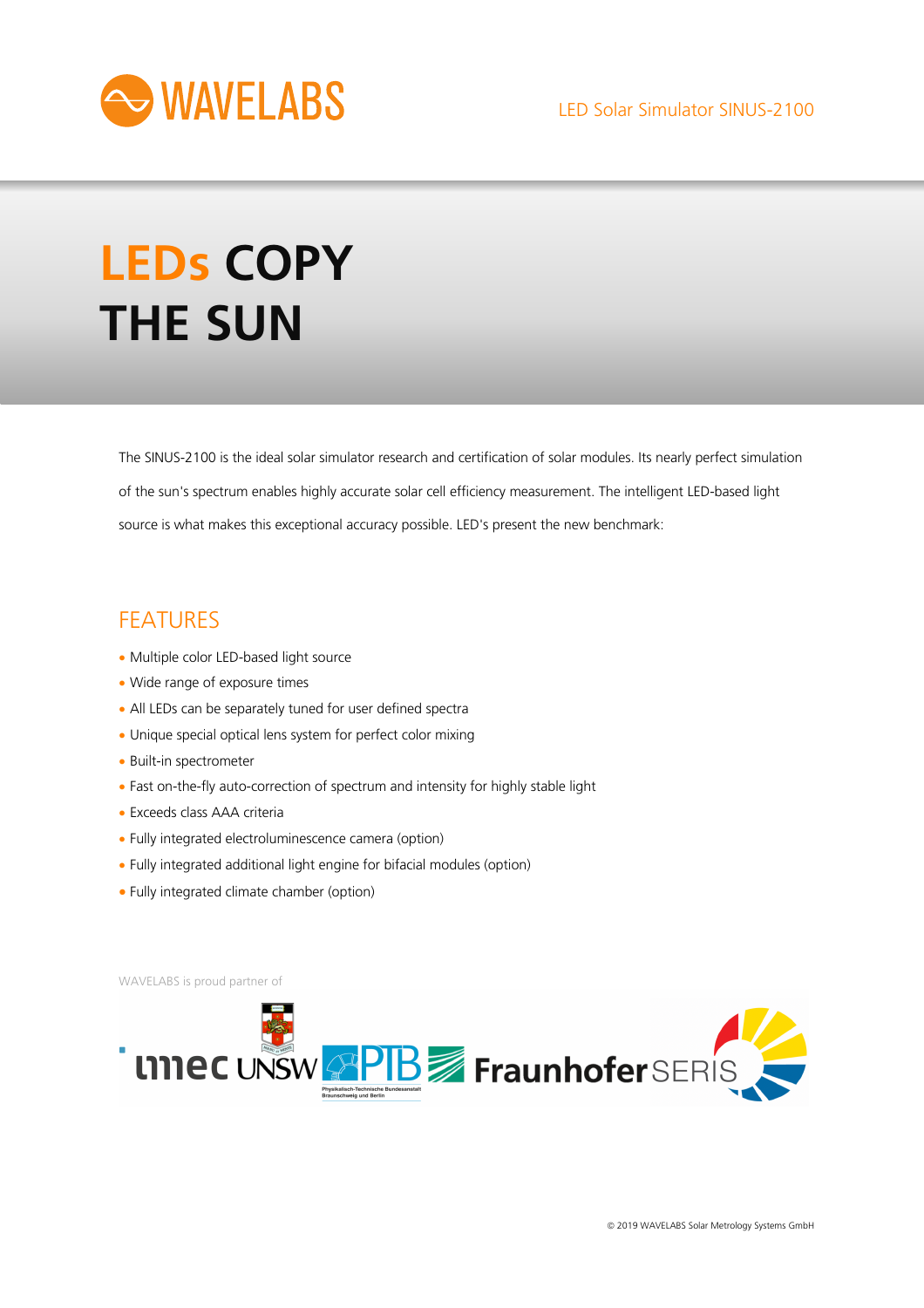

# **LEDs COPY THE SUN**

The SINUS-2100 is the ideal solar simulator research and certification of solar modules. Its nearly perfect simulation of the sun's spectrum enables highly accurate solar cell efficiency measurement. The intelligent LED-based light source is what makes this exceptional accuracy possible. LED's present the new benchmark:

# FEATURES

- Multiple color LED-based light source
- Wide range of exposure times
- All LEDs can be separately tuned for user defined spectra
- Unique special optical lens system for perfect color mixing
- Built-in spectrometer
- Fast on-the-fly auto-correction of spectrum and intensity for highly stable light
- Exceeds class AAA criteria
- Fully integrated electroluminescence camera (option)
- Fully integrated additional light engine for bifacial modules (option)
- Fully integrated climate chamber (option)

WAVELABS is proud partner of

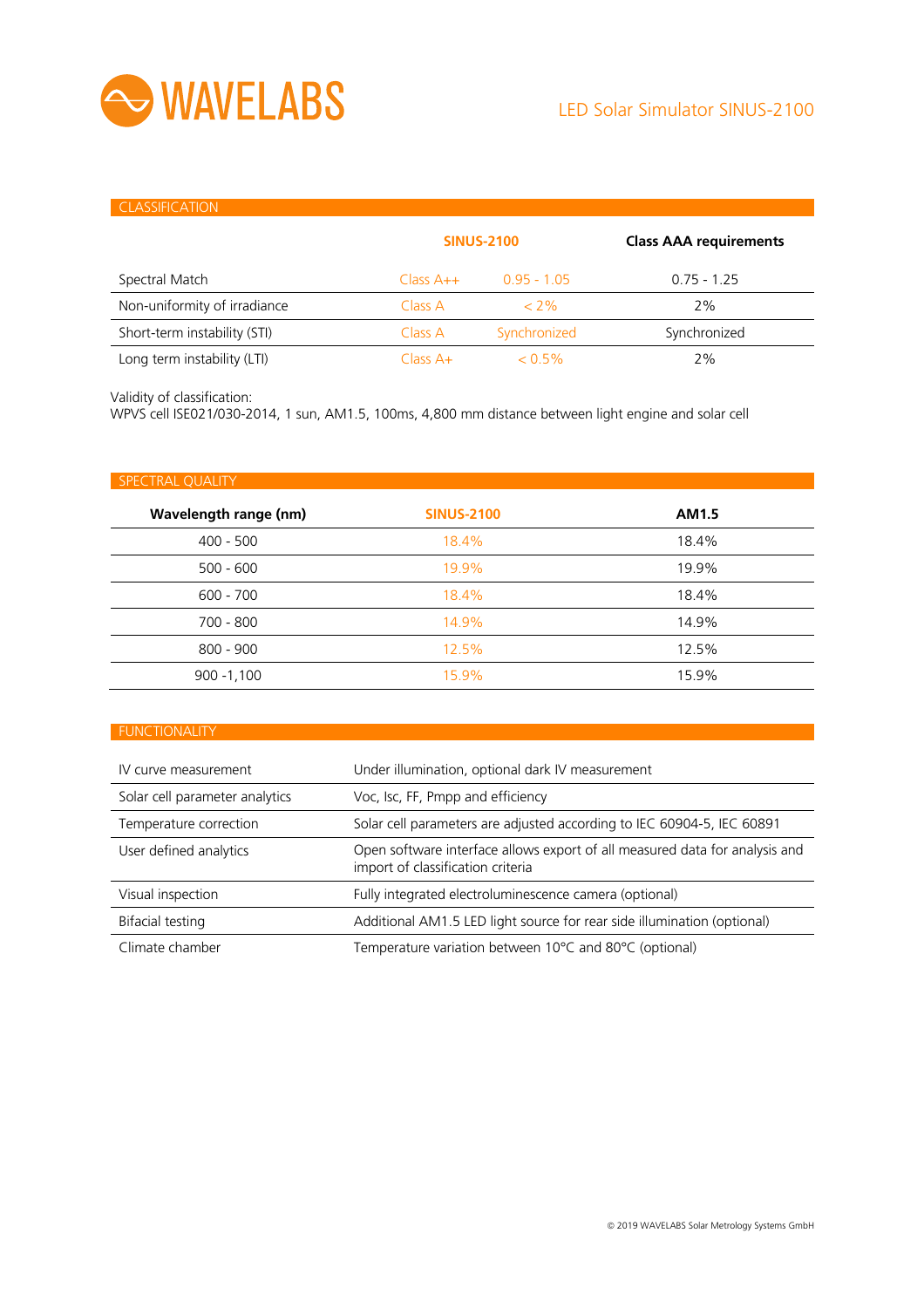

#### **CLASSIFICATION**

|                              | <b>SINUS-2100</b> |               | <b>Class AAA requirements</b> |
|------------------------------|-------------------|---------------|-------------------------------|
| Spectral Match               | $Class A++$       | $0.95 - 1.05$ | $0.75 - 1.25$                 |
| Non-uniformity of irradiance | Class A           | $<$ 2%        | 2%                            |
| Short-term instability (STI) | Class A           | Synchronized  | Synchronized                  |
| Long term instability (LTI)  | $Class A+$        | $< 0.5\%$     | 2%                            |

Validity of classification:

WPVS cell ISE021/030-2014, 1 sun, AM1.5, 100ms, 4,800 mm distance between light engine and solar cell

| SPECTRAL QUALITY      |                   |       |
|-----------------------|-------------------|-------|
| Wavelength range (nm) | <b>SINUS-2100</b> | AM1.5 |
| $400 - 500$           | 18.4%             | 18.4% |
| $500 - 600$           | 19.9%             | 19.9% |
| $600 - 700$           | 18.4%             | 18.4% |
| 700 - 800             | 14.9%             | 14.9% |
| $800 - 900$           | 12.5%             | 12.5% |
| $900 - 1,100$         | 15.9%             | 15.9% |

#### FUNCTIONALITY

| IV curve measurement           | Under illumination, optional dark IV measurement                                                                 |
|--------------------------------|------------------------------------------------------------------------------------------------------------------|
| Solar cell parameter analytics | Voc, Isc, FF, Pmpp and efficiency                                                                                |
| Temperature correction         | Solar cell parameters are adjusted according to IEC 60904-5, IEC 60891                                           |
| User defined analytics         | Open software interface allows export of all measured data for analysis and<br>import of classification criteria |
| Visual inspection              | Fully integrated electroluminescence camera (optional)                                                           |
| Bifacial testing               | Additional AM1.5 LED light source for rear side illumination (optional)                                          |
| Climate chamber                | Temperature variation between 10°C and 80°C (optional)                                                           |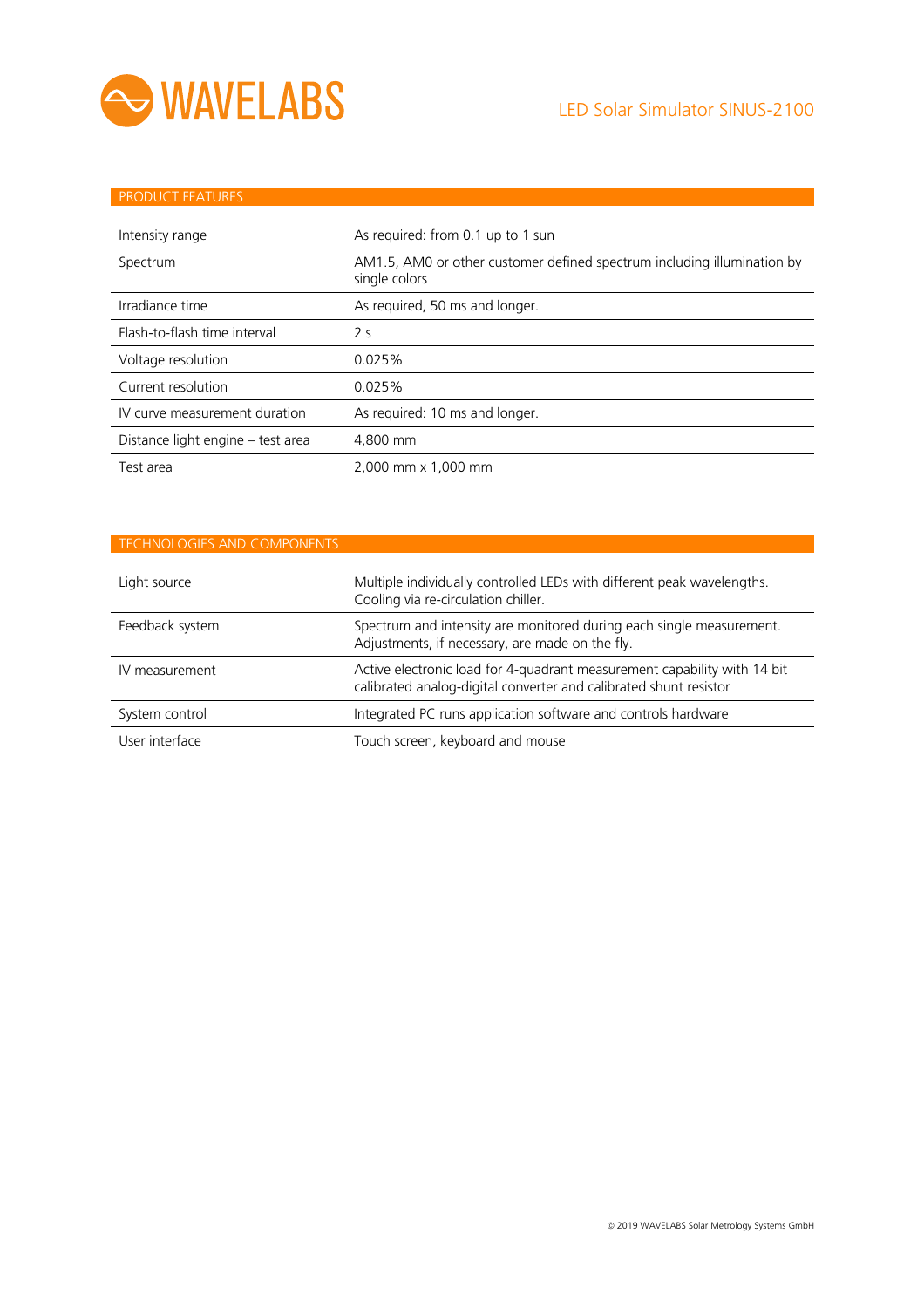

| <b>PRODUCT FEATURES</b>           |                                                                                          |
|-----------------------------------|------------------------------------------------------------------------------------------|
|                                   |                                                                                          |
| Intensity range                   | As required: from 0.1 up to 1 sun                                                        |
| Spectrum                          | AM1.5, AM0 or other customer defined spectrum including illumination by<br>single colors |
| Irradiance time                   | As required, 50 ms and longer.                                                           |
| Flash-to-flash time interval      | 2 <sub>s</sub>                                                                           |
| Voltage resolution                | 0.025%                                                                                   |
| Current resolution                | 0.025%                                                                                   |
| IV curve measurement duration     | As required: 10 ms and longer.                                                           |
| Distance light engine – test area | 4.800 mm                                                                                 |
| Test area                         | 2,000 mm x 1,000 mm                                                                      |

## TECHNOLOGIES AND COMPONENTS

| Light source    | Multiple individually controlled LEDs with different peak wavelengths.<br>Cooling via re-circulation chiller.                                 |  |
|-----------------|-----------------------------------------------------------------------------------------------------------------------------------------------|--|
| Feedback system | Spectrum and intensity are monitored during each single measurement.<br>Adjustments, if necessary, are made on the fly.                       |  |
| IV measurement  | Active electronic load for 4-quadrant measurement capability with 14 bit<br>calibrated analog-digital converter and calibrated shunt resistor |  |
| System control  | Integrated PC runs application software and controls hardware                                                                                 |  |
| User interface  | Touch screen, keyboard and mouse                                                                                                              |  |